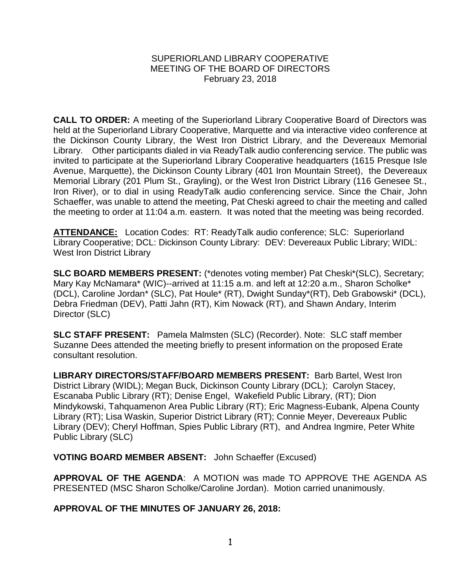## SUPERIORLAND LIBRARY COOPERATIVE MEETING OF THE BOARD OF DIRECTORS February 23, 2018

**CALL TO ORDER:** A meeting of the Superiorland Library Cooperative Board of Directors was held at the Superiorland Library Cooperative, Marquette and via interactive video conference at the Dickinson County Library, the West Iron District Library, and the Devereaux Memorial Library. Other participants dialed in via ReadyTalk audio conferencing service. The public was invited to participate at the Superiorland Library Cooperative headquarters (1615 Presque Isle Avenue, Marquette), the Dickinson County Library (401 Iron Mountain Street), the Devereaux Memorial Library (201 Plum St., Grayling), or the West Iron District Library (116 Genesee St., Iron River), or to dial in using ReadyTalk audio conferencing service. Since the Chair, John Schaeffer, was unable to attend the meeting, Pat Cheski agreed to chair the meeting and called the meeting to order at 11:04 a.m. eastern. It was noted that the meeting was being recorded.

**ATTENDANCE:** Location Codes: RT: ReadyTalk audio conference; SLC: Superiorland Library Cooperative; DCL: Dickinson County Library: DEV: Devereaux Public Library; WIDL: West Iron District Library

**SLC BOARD MEMBERS PRESENT:** (\*denotes voting member) Pat Cheski\*(SLC), Secretary; Mary Kay McNamara\* (WIC)--arrived at 11:15 a.m. and left at 12:20 a.m., Sharon Scholke\* (DCL), Caroline Jordan\* (SLC), Pat Houle\* (RT), Dwight Sunday\*(RT), Deb Grabowski\* (DCL), Debra Friedman (DEV), Patti Jahn (RT), Kim Nowack (RT), and Shawn Andary, Interim Director (SLC)

**SLC STAFF PRESENT:** Pamela Malmsten (SLC) (Recorder). Note: SLC staff member Suzanne Dees attended the meeting briefly to present information on the proposed Erate consultant resolution.

**LIBRARY DIRECTORS/STAFF/BOARD MEMBERS PRESENT:** Barb Bartel, West Iron District Library (WIDL); Megan Buck, Dickinson County Library (DCL); Carolyn Stacey, Escanaba Public Library (RT); Denise Engel, Wakefield Public Library, (RT); Dion Mindykowski, Tahquamenon Area Public Library (RT); Eric Magness-Eubank, Alpena County Library (RT); Lisa Waskin, Superior District Library (RT); Connie Meyer, Devereaux Public Library (DEV); Cheryl Hoffman, Spies Public Library (RT), and Andrea Ingmire, Peter White Public Library (SLC)

**VOTING BOARD MEMBER ABSENT:** John Schaeffer (Excused)

**APPROVAL OF THE AGENDA**: A MOTION was made TO APPROVE THE AGENDA AS PRESENTED (MSC Sharon Scholke/Caroline Jordan). Motion carried unanimously.

**APPROVAL OF THE MINUTES OF JANUARY 26, 2018:**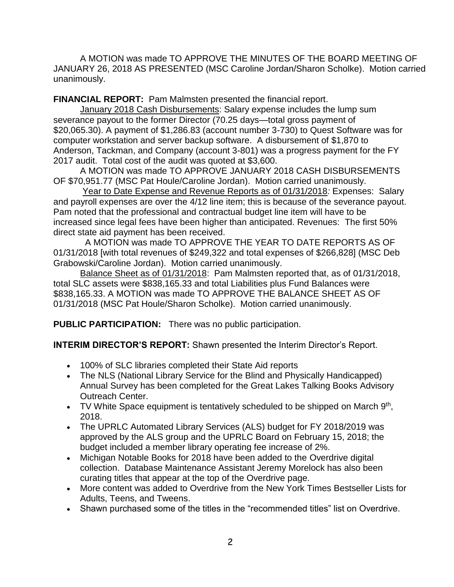A MOTION was made TO APPROVE THE MINUTES OF THE BOARD MEETING OF JANUARY 26, 2018 AS PRESENTED (MSC Caroline Jordan/Sharon Scholke). Motion carried unanimously.

**FINANCIAL REPORT:** Pam Malmsten presented the financial report.

January 2018 Cash Disbursements: Salary expense includes the lump sum severance payout to the former Director (70.25 days—total gross payment of \$20,065.30). A payment of \$1,286.83 (account number 3-730) to Quest Software was for computer workstation and server backup software. A disbursement of \$1,870 to Anderson, Tackman, and Company (account 3-801) was a progress payment for the FY 2017 audit. Total cost of the audit was quoted at \$3,600.

A MOTION was made TO APPROVE JANUARY 2018 CASH DISBURSEMENTS OF \$70,951.77 (MSC Pat Houle/Caroline Jordan). Motion carried unanimously.

Year to Date Expense and Revenue Reports as of 01/31/2018*:* Expenses: Salary and payroll expenses are over the 4/12 line item; this is because of the severance payout. Pam noted that the professional and contractual budget line item will have to be increased since legal fees have been higher than anticipated. Revenues: The first 50% direct state aid payment has been received.

 A MOTION was made TO APPROVE THE YEAR TO DATE REPORTS AS OF 01/31/2018 [with total revenues of \$249,322 and total expenses of \$266,828] (MSC Deb Grabowski/Caroline Jordan). Motion carried unanimously.

Balance Sheet as of 01/31/2018: Pam Malmsten reported that, as of 01/31/2018, total SLC assets were \$838,165.33 and total Liabilities plus Fund Balances were \$838,165.33. A MOTION was made TO APPROVE THE BALANCE SHEET AS OF 01/31/2018 (MSC Pat Houle/Sharon Scholke). Motion carried unanimously.

**PUBLIC PARTICIPATION:** There was no public participation.

**INTERIM DIRECTOR'S REPORT:** Shawn presented the Interim Director's Report.

- 100% of SLC libraries completed their State Aid reports
- The NLS (National Library Service for the Blind and Physically Handicapped) Annual Survey has been completed for the Great Lakes Talking Books Advisory Outreach Center.
- TV White Space equipment is tentatively scheduled to be shipped on March  $9<sup>th</sup>$ , 2018.
- The UPRLC Automated Library Services (ALS) budget for FY 2018/2019 was approved by the ALS group and the UPRLC Board on February 15, 2018; the budget included a member library operating fee increase of 2%.
- Michigan Notable Books for 2018 have been added to the Overdrive digital collection. Database Maintenance Assistant Jeremy Morelock has also been curating titles that appear at the top of the Overdrive page.
- More content was added to Overdrive from the New York Times Bestseller Lists for Adults, Teens, and Tweens.
- Shawn purchased some of the titles in the "recommended titles" list on Overdrive.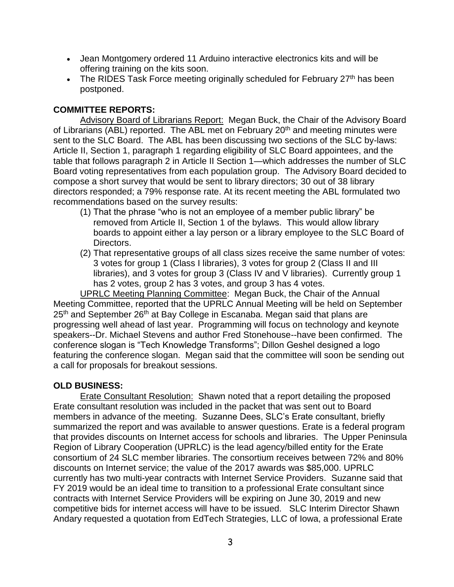- Jean Montgomery ordered 11 Arduino interactive electronics kits and will be offering training on the kits soon.
- The RIDES Task Force meeting originally scheduled for February 27<sup>th</sup> has been postponed.

## **COMMITTEE REPORTS:**

Advisory Board of Librarians Report: Megan Buck, the Chair of the Advisory Board of Librarians (ABL) reported. The ABL met on February 20<sup>th</sup> and meeting minutes were sent to the SLC Board. The ABL has been discussing two sections of the SLC by-laws: Article II, Section 1, paragraph 1 regarding eligibility of SLC Board appointees, and the table that follows paragraph 2 in Article II Section 1—which addresses the number of SLC Board voting representatives from each population group. The Advisory Board decided to compose a short survey that would be sent to library directors; 30 out of 38 library directors responded; a 79% response rate. At its recent meeting the ABL formulated two recommendations based on the survey results:

- (1) That the phrase "who is not an employee of a member public library" be removed from Article II, Section 1 of the bylaws. This would allow library boards to appoint either a lay person or a library employee to the SLC Board of Directors.
- (2) That representative groups of all class sizes receive the same number of votes: 3 votes for group 1 (Class I libraries), 3 votes for group 2 (Class II and III libraries), and 3 votes for group 3 (Class IV and V libraries). Currently group 1 has 2 votes, group 2 has 3 votes, and group 3 has 4 votes.

UPRLC Meeting Planning Committee: Megan Buck, the Chair of the Annual Meeting Committee, reported that the UPRLC Annual Meeting will be held on September 25<sup>th</sup> and September 26<sup>th</sup> at Bay College in Escanaba. Megan said that plans are progressing well ahead of last year. Programming will focus on technology and keynote speakers--Dr. Michael Stevens and author Fred Stonehouse--have been confirmed. The conference slogan is "Tech Knowledge Transforms"; Dillon Geshel designed a logo featuring the conference slogan. Megan said that the committee will soon be sending out a call for proposals for breakout sessions.

## **OLD BUSINESS:**

Erate Consultant Resolution: Shawn noted that a report detailing the proposed Erate consultant resolution was included in the packet that was sent out to Board members in advance of the meeting. Suzanne Dees, SLC's Erate consultant, briefly summarized the report and was available to answer questions. Erate is a federal program that provides discounts on Internet access for schools and libraries. The Upper Peninsula Region of Library Cooperation (UPRLC) is the lead agency/billed entity for the Erate consortium of 24 SLC member libraries. The consortium receives between 72% and 80% discounts on Internet service; the value of the 2017 awards was \$85,000. UPRLC currently has two multi-year contracts with Internet Service Providers. Suzanne said that FY 2019 would be an ideal time to transition to a professional Erate consultant since contracts with Internet Service Providers will be expiring on June 30, 2019 and new competitive bids for internet access will have to be issued. SLC Interim Director Shawn Andary requested a quotation from EdTech Strategies, LLC of Iowa, a professional Erate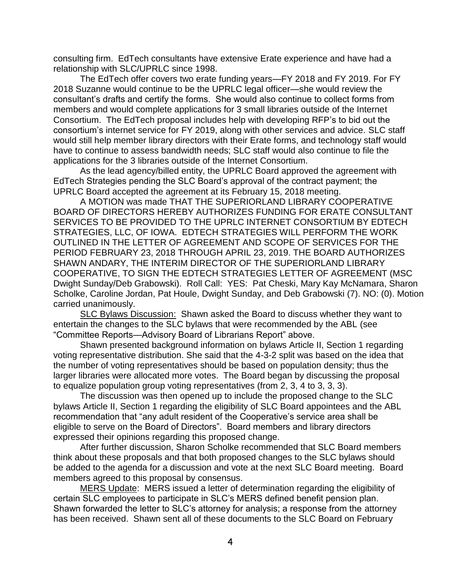consulting firm. EdTech consultants have extensive Erate experience and have had a relationship with SLC/UPRLC since 1998.

The EdTech offer covers two erate funding years—FY 2018 and FY 2019. For FY 2018 Suzanne would continue to be the UPRLC legal officer—she would review the consultant's drafts and certify the forms. She would also continue to collect forms from members and would complete applications for 3 small libraries outside of the Internet Consortium. The EdTech proposal includes help with developing RFP's to bid out the consortium's internet service for FY 2019, along with other services and advice. SLC staff would still help member library directors with their Erate forms, and technology staff would have to continue to assess bandwidth needs; SLC staff would also continue to file the applications for the 3 libraries outside of the Internet Consortium.

As the lead agency/billed entity, the UPRLC Board approved the agreement with EdTech Strategies pending the SLC Board's approval of the contract payment; the UPRLC Board accepted the agreement at its February 15, 2018 meeting.

A MOTION was made THAT THE SUPERIORLAND LIBRARY COOPERATIVE BOARD OF DIRECTORS HEREBY AUTHORIZES FUNDING FOR ERATE CONSULTANT SERVICES TO BE PROVIDED TO THE UPRLC INTERNET CONSORTIUM BY EDTECH STRATEGIES, LLC, OF IOWA. EDTECH STRATEGIES WILL PERFORM THE WORK OUTLINED IN THE LETTER OF AGREEMENT AND SCOPE OF SERVICES FOR THE PERIOD FEBRUARY 23, 2018 THROUGH APRIL 23, 2019. THE BOARD AUTHORIZES SHAWN ANDARY, THE INTERIM DIRECTOR OF THE SUPERIORLAND LIBRARY COOPERATIVE, TO SIGN THE EDTECH STRATEGIES LETTER OF AGREEMENT (MSC Dwight Sunday/Deb Grabowski). Roll Call: YES: Pat Cheski, Mary Kay McNamara, Sharon Scholke, Caroline Jordan, Pat Houle, Dwight Sunday, and Deb Grabowski (7). NO: (0). Motion carried unanimously.

SLC Bylaws Discussion: Shawn asked the Board to discuss whether they want to entertain the changes to the SLC bylaws that were recommended by the ABL (see "Committee Reports—Advisory Board of Librarians Report" above.

Shawn presented background information on bylaws Article II, Section 1 regarding voting representative distribution. She said that the 4-3-2 split was based on the idea that the number of voting representatives should be based on population density; thus the larger libraries were allocated more votes. The Board began by discussing the proposal to equalize population group voting representatives (from 2, 3, 4 to 3, 3, 3).

The discussion was then opened up to include the proposed change to the SLC bylaws Article II, Section 1 regarding the eligibility of SLC Board appointees and the ABL recommendation that "any adult resident of the Cooperative's service area shall be eligible to serve on the Board of Directors". Board members and library directors expressed their opinions regarding this proposed change.

After further discussion, Sharon Scholke recommended that SLC Board members think about these proposals and that both proposed changes to the SLC bylaws should be added to the agenda for a discussion and vote at the next SLC Board meeting. Board members agreed to this proposal by consensus.

MERS Update: MERS issued a letter of determination regarding the eligibility of certain SLC employees to participate in SLC's MERS defined benefit pension plan. Shawn forwarded the letter to SLC's attorney for analysis; a response from the attorney has been received. Shawn sent all of these documents to the SLC Board on February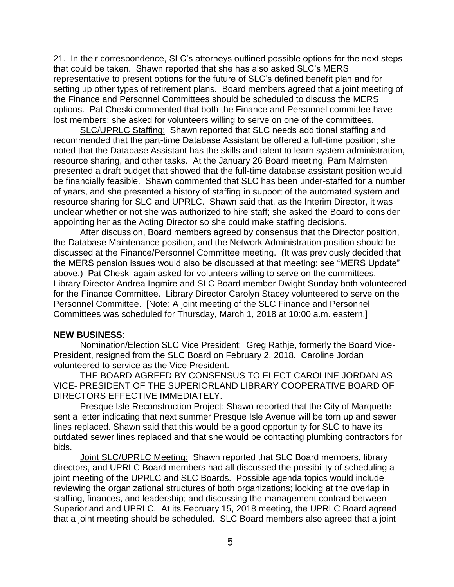21. In their correspondence, SLC's attorneys outlined possible options for the next steps that could be taken. Shawn reported that she has also asked SLC's MERS representative to present options for the future of SLC's defined benefit plan and for setting up other types of retirement plans. Board members agreed that a joint meeting of the Finance and Personnel Committees should be scheduled to discuss the MERS options. Pat Cheski commented that both the Finance and Personnel committee have lost members; she asked for volunteers willing to serve on one of the committees.

SLC/UPRLC Staffing: Shawn reported that SLC needs additional staffing and recommended that the part-time Database Assistant be offered a full-time position; she noted that the Database Assistant has the skills and talent to learn system administration, resource sharing, and other tasks. At the January 26 Board meeting, Pam Malmsten presented a draft budget that showed that the full-time database assistant position would be financially feasible. Shawn commented that SLC has been under-staffed for a number of years, and she presented a history of staffing in support of the automated system and resource sharing for SLC and UPRLC. Shawn said that, as the Interim Director, it was unclear whether or not she was authorized to hire staff; she asked the Board to consider appointing her as the Acting Director so she could make staffing decisions.

After discussion, Board members agreed by consensus that the Director position, the Database Maintenance position, and the Network Administration position should be discussed at the Finance/Personnel Committee meeting. (It was previously decided that the MERS pension issues would also be discussed at that meeting: see "MERS Update" above.) Pat Cheski again asked for volunteers willing to serve on the committees. Library Director Andrea Ingmire and SLC Board member Dwight Sunday both volunteered for the Finance Committee. Library Director Carolyn Stacey volunteered to serve on the Personnel Committee. [Note: A joint meeting of the SLC Finance and Personnel Committees was scheduled for Thursday, March 1, 2018 at 10:00 a.m. eastern.]

## **NEW BUSINESS**:

Nomination/Election SLC Vice President: Greg Rathje, formerly the Board Vice-President, resigned from the SLC Board on February 2, 2018. Caroline Jordan volunteered to service as the Vice President.

THE BOARD AGREED BY CONSENSUS TO ELECT CAROLINE JORDAN AS VICE- PRESIDENT OF THE SUPERIORLAND LIBRARY COOPERATIVE BOARD OF DIRECTORS EFFECTIVE IMMEDIATELY.

Presque Isle Reconstruction Project: Shawn reported that the City of Marquette sent a letter indicating that next summer Presque Isle Avenue will be torn up and sewer lines replaced. Shawn said that this would be a good opportunity for SLC to have its outdated sewer lines replaced and that she would be contacting plumbing contractors for bids.

Joint SLC/UPRLC Meeting: Shawn reported that SLC Board members, library directors, and UPRLC Board members had all discussed the possibility of scheduling a joint meeting of the UPRLC and SLC Boards. Possible agenda topics would include reviewing the organizational structures of both organizations; looking at the overlap in staffing, finances, and leadership; and discussing the management contract between Superiorland and UPRLC. At its February 15, 2018 meeting, the UPRLC Board agreed that a joint meeting should be scheduled. SLC Board members also agreed that a joint